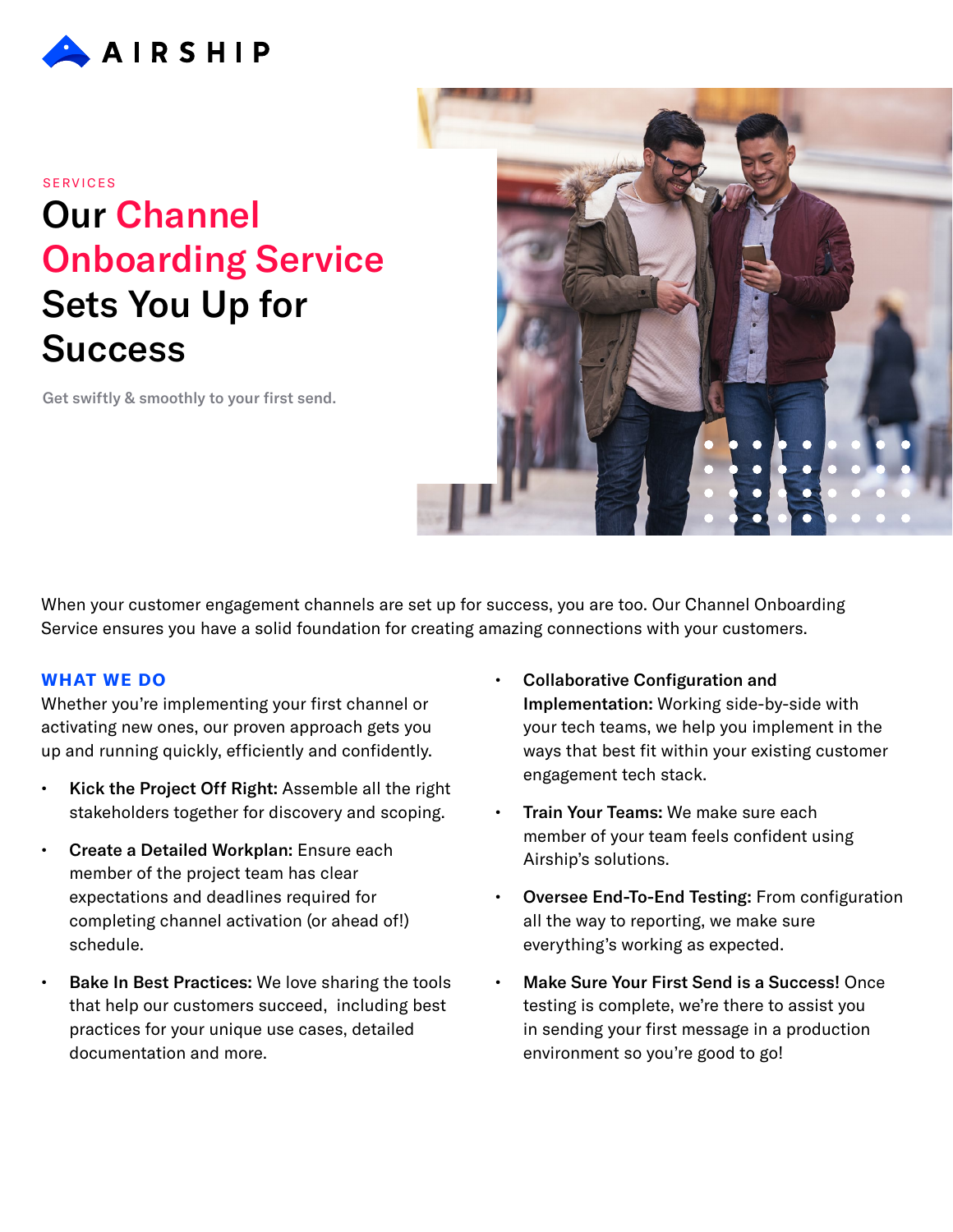

#### **SERVICES**

# Our Channel Onboarding Service Sets You Up for **Success**

Get swiftly & smoothly to your first send.



When your customer engagement channels are set up for success, you are too. Our Channel Onboarding Service ensures you have a solid foundation for creating amazing connections with your customers.

### **WHAT WE DO**

Whether you're implementing your first channel or activating new ones, our proven approach gets you up and running quickly, efficiently and confidently.

- Kick the Project Off Right: Assemble all the right stakeholders together for discovery and scoping.
- Create a Detailed Workplan: Ensure each member of the project team has clear expectations and deadlines required for completing channel activation (or ahead of!) schedule.
- Bake In Best Practices: We love sharing the tools that help our customers succeed, including best practices for your unique use cases, detailed documentation and more.
- Collaborative Configuration and Implementation: Working side-by-side with your tech teams, we help you implement in the ways that best fit within your existing customer engagement tech stack.
- Train Your Teams: We make sure each member of your team feels confident using Airship's solutions.
- Oversee End-To-End Testing: From configuration all the way to reporting, we make sure everything's working as expected.
- Make Sure Your First Send is a Success! Once testing is complete, we're there to assist you in sending your first message in a production environment so you're good to go!